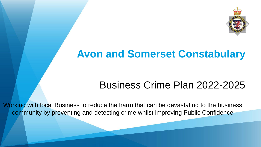

# **Avon and Somerset Constabulary**

# Business Crime Plan 2022-2025

Working with local Business to reduce the harm that can be devastating to the business community by preventing and detecting crime whilst improving Public Confidence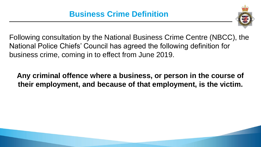

Following consultation by the National Business Crime Centre (NBCC), the National Police Chiefs' Council has agreed the following definition for business crime, coming in to effect from June 2019.

#### **Any criminal offence where a business, or person in the course of their employment, and because of that employment, is the victim.**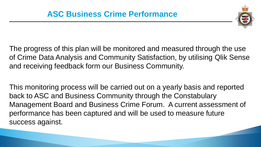

The progress of this plan will be monitored and measured through the use of Crime Data Analysis and Community Satisfaction, by utilising Qlik Sense and receiving feedback form our Business Community.

This monitoring process will be carried out on a yearly basis and reported back to ASC and Business Community through the Constabulary Management Board and Business Crime Forum. A current assessment of performance has been captured and will be used to measure future success against.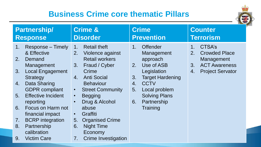### **Business Crime core thematic Pillars**



| <b>Partnership/</b>                                                                                                                                                                                                                                                                                                                                                                                              | <b>Crime &amp;</b>                                                                                                                                                                                                                                                                                                                                                                                                  | <b>Crime</b>                                                                                                                                                                                                                  | <b>Counter</b>                                                                                                                      |
|------------------------------------------------------------------------------------------------------------------------------------------------------------------------------------------------------------------------------------------------------------------------------------------------------------------------------------------------------------------------------------------------------------------|---------------------------------------------------------------------------------------------------------------------------------------------------------------------------------------------------------------------------------------------------------------------------------------------------------------------------------------------------------------------------------------------------------------------|-------------------------------------------------------------------------------------------------------------------------------------------------------------------------------------------------------------------------------|-------------------------------------------------------------------------------------------------------------------------------------|
| <b>Response</b>                                                                                                                                                                                                                                                                                                                                                                                                  | <b>Disorder</b>                                                                                                                                                                                                                                                                                                                                                                                                     | <b>Prevention</b>                                                                                                                                                                                                             | <b>Terrorism</b>                                                                                                                    |
| Response – Timely<br>1.<br>& Effective<br>2.<br>Demand<br>Management<br><b>Local Engagement</b><br>3.<br><b>Strategy</b><br>Data Sharing<br>4.<br><b>GDPR</b> compliant<br><b>Effective Incident</b><br>5 <sub>1</sub><br>reporting<br>Focus on Harm not<br>6.<br>financial impact<br><b>BCRP</b> integration<br>$7_{\scriptscriptstyle{\cdot}}$<br>Partnership<br>8.<br>calibration<br><b>Victim Care</b><br>9. | <b>Retail theft</b><br>1.<br>2.<br>Violence against<br><b>Retail workers</b><br>Fraud / Cyber<br>3 <sub>1</sub><br>Crime<br><b>Anti Social</b><br>4.<br><b>Behaviour</b><br><b>Street Community</b><br>$\bullet$<br><b>Begging</b><br>$\bullet$<br>Drug & Alcohol<br>$\bullet$<br>abuse<br>Graffiti<br>$\bullet$<br><b>Organised Crime</b><br>5.<br>6.<br><b>Night Time</b><br>Economy<br>7.<br>Crime Investigation | <b>Offender</b><br>$1_{-}$<br>Management<br>approach<br>Use of ASB<br>2.<br>Legislation<br><b>Target Hardening</b><br>3.<br><b>CCTV</b><br>4.<br>5.<br>Local problem<br><b>Solving Plans</b><br>Partnership<br>6.<br>Training | CTSA's<br>1 <sub>1</sub><br><b>Crowded Place</b><br>2.<br>Management<br><b>ACT Awareness</b><br>3.<br><b>Project Servator</b><br>4. |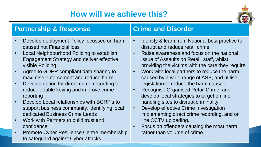## **How will we achieve this?**



| <b>Partnership &amp; Response</b> |                                                                         | <b>Crime and Disorder</b> |                                                                                               |
|-----------------------------------|-------------------------------------------------------------------------|---------------------------|-----------------------------------------------------------------------------------------------|
|                                   | Develop deployment Policy focussed on harm<br>caused not Financial loss | $\bullet$                 | Identify & learn from National best practice to<br>disrupt and reduce retail crime            |
|                                   | Local Neighbourhood Policing to establish                               | $\bullet$                 | Raise awareness and focus on the national                                                     |
|                                   | <b>Engagement Strategy and deliver effective</b><br>visible Policing    |                           | issue of Assaults on Retail staff, whilst<br>providing the victims with the care they require |
|                                   | Agree to GDPR compliant data sharing to                                 | $\bullet$                 | Work with local partners to reduce the harm                                                   |
|                                   | maximise enforcement and reduce harm                                    |                           | caused by a wide range of ASB, and utilise                                                    |
|                                   | Develop option for direct crime recording to                            |                           | legislation to reduce the harm caused                                                         |
|                                   | reduce double keying and improve crime                                  | $\bullet$                 | Recognise Organised Retail Crime, and                                                         |
|                                   | reporting                                                               |                           | develop local strategies to target on line                                                    |
|                                   | Develop Local relationships with BCRP's to                              |                           | handling sites to disrupt criminality                                                         |
|                                   | support business community, identifying local                           | $\bullet$                 | Develop effective Crime Investigation                                                         |
|                                   | dedicated Business Crime Leads                                          |                           | implementing direct crime recording, and on                                                   |
|                                   | Work with Partners to build trust and                                   |                           | line CCTV uploading.                                                                          |
|                                   | confidence                                                              |                           | Focus on offenders causing the most harm                                                      |
|                                   | Promote Cyber Resilience Centre membership                              |                           | rather than volume of crime.                                                                  |
|                                   | to safeguard against Cyber attacks                                      |                           |                                                                                               |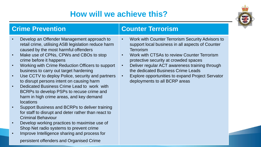## **How will we achieve this?**



- Develop an Offender Management approach to retail crime, utilising ASB legislation reduce harm caused by the most harmful offenders
- Make use of CPNs, CPWs and CBOs to stop crime before it happens
- Working with Crime Reduction Officers to support business to carry out target hardening
- Use CCTV to deploy Police, security and partners to disrupt persons intent on causing harm
- Dedicated Business Crime Lead to work with BCRPs to develop PSPs to recuse crime and harm in high crime areas, and key demand locations
- Support Business and BCRPs to deliver training for staff to disrupt and deter rather than react to Criminal Behaviour
- Develop working practices to maximise use of Shop Net radio systems to prevent crime
- Improve Intelligence sharing and process for persistent offenders and Organised Crime

#### **Crime Prevention Counter Terrorism**

- Work with Counter Terrorism Security Advisors to support local business in all aspects of Counter **Terrorism**
- Work with CTSAs to review Counter Terrorism protective security at crowded spaces
- Deliver regular ACT awareness training through the dedicated Business Crime Leads
- Explore opportunities to expand Project Servator deployments to all BCRP areas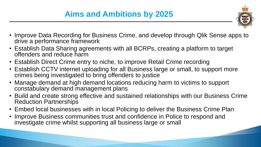

- Improve Data Recording for Business Crime, and develop through Qlik Sense apps to drive a performance framework
- Establish Data Sharing agreements with all BCRPs, creating a platform to target offenders and reduce harm
- Establish Direct Crime entry to niche, to improve Retail Crime recording
- Establish CCTV internet uploading for all Business large or small, to support more crimes being investigated to bring offenders to justice
- Manage demand at high demand locations reducing harm to victims to support constabulary demand management plans
- Build and create strong effective and sustained relationships with our Business Crime Reduction Partnerships
- Embed local businesses with in local Policing to deliver the Business Crime Plan
- Improve Business communities trust and confidence in Police to respond and investigate crime whilst supporting all business large or small